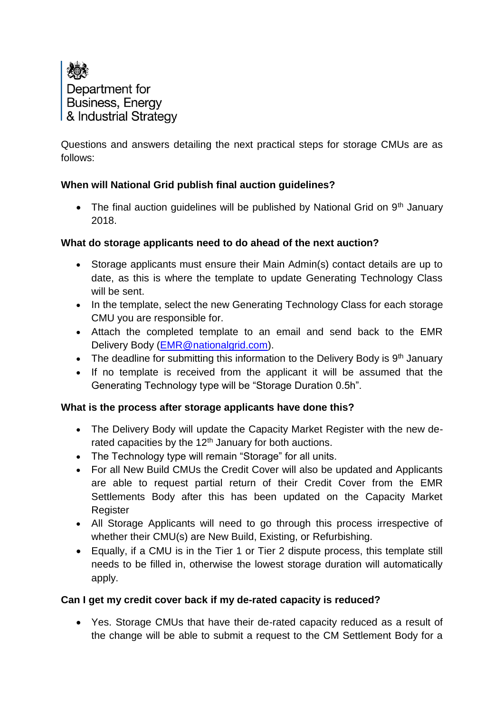

Questions and answers detailing the next practical steps for storage CMUs are as follows:

## **When will National Grid publish final auction guidelines?**

• The final auction guidelines will be published by National Grid on  $9<sup>th</sup>$  January 2018.

## **What do storage applicants need to do ahead of the next auction?**

- Storage applicants must ensure their Main Admin(s) contact details are up to date, as this is where the template to update Generating Technology Class will be sent.
- In the template, select the new Generating Technology Class for each storage CMU you are responsible for.
- Attach the completed template to an email and send back to the EMR Delivery Body [\(EMR@nationalgrid.com\)](mailto:EMR@nationalgrid.com).
- The deadline for submitting this information to the Delivery Body is  $9<sup>th</sup>$  January
- If no template is received from the applicant it will be assumed that the Generating Technology type will be "Storage Duration 0.5h".

## **What is the process after storage applicants have done this?**

- The Delivery Body will update the Capacity Market Register with the new derated capacities by the  $12<sup>th</sup>$  January for both auctions.
- The Technology type will remain "Storage" for all units.
- For all New Build CMUs the Credit Cover will also be updated and Applicants are able to request partial return of their Credit Cover from the EMR Settlements Body after this has been updated on the Capacity Market **Register**
- All Storage Applicants will need to go through this process irrespective of whether their CMU(s) are New Build, Existing, or Refurbishing.
- Equally, if a CMU is in the Tier 1 or Tier 2 dispute process, this template still needs to be filled in, otherwise the lowest storage duration will automatically apply.

# **Can I get my credit cover back if my de-rated capacity is reduced?**

 Yes. Storage CMUs that have their de-rated capacity reduced as a result of the change will be able to submit a request to the CM Settlement Body for a